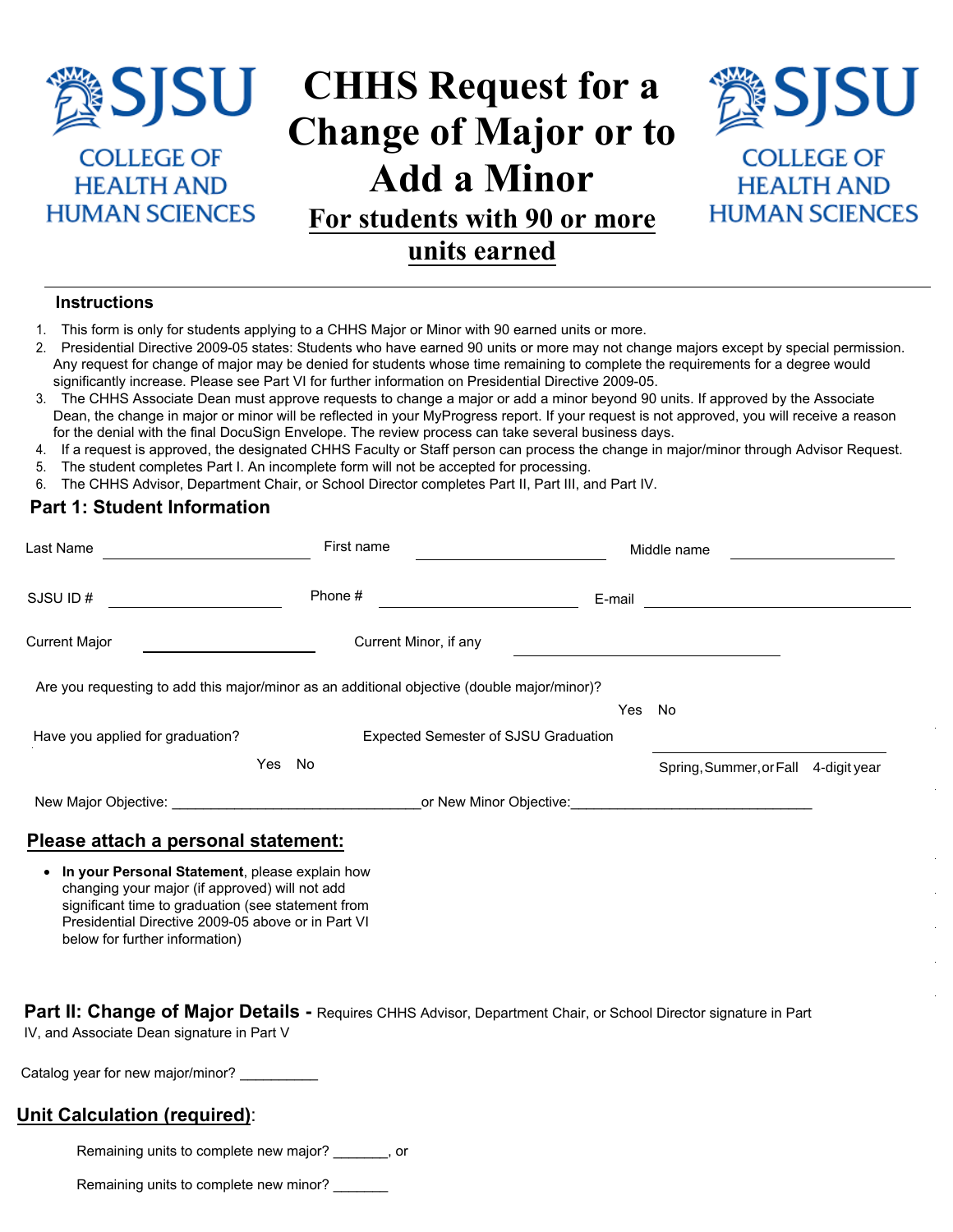

#### **Instructions**

- 1. This form is only for students applying to a CHHS Major or Minor with 90 earned units or more.
- 2. Presidential Directive 2009-05 states: Students who have earned 90 units or more may not change majors except by special permission. Any request for change of major may be denied for students whose time remaining to complete the requirements for a degree would significantly increase. Please see Part VI for further information on Presidential Directive 2009-05.
- 3. The CHHS Associate Dean must approve requests to change a major or add a minor beyond 90 units. If approved by the Associate Dean, the change in major or minor will be reflected in your MyProgress report. If your request is not approved, you will receive a reason for the denial with the final DocuSign Envelope. The review process can take several business days.
- 4. If a request is approved, the designated CHHS Faculty or Staff person can process the change in major/minor through Advisor Request.
- 5. The student completes Part I. An incomplete form will not be accepted for processing.
- 6. The CHHS Advisor, Department Chair, or School Director completes Part II, Part III, and Part IV.

### **Part 1: Student Information**

| Last Name                                                                                   | First name            |                                                                    | Middle name                          |  |  |
|---------------------------------------------------------------------------------------------|-----------------------|--------------------------------------------------------------------|--------------------------------------|--|--|
| SJSU ID#                                                                                    | Phone #               | E-mail                                                             |                                      |  |  |
| <b>Current Major</b>                                                                        | Current Minor, if any |                                                                    |                                      |  |  |
| Are you requesting to add this major/minor as an additional objective (double major/minor)? |                       |                                                                    |                                      |  |  |
|                                                                                             |                       | Yes                                                                | No.                                  |  |  |
| Have you applied for graduation?                                                            |                       | Expected Semester of SJSU Graduation                               |                                      |  |  |
|                                                                                             | Yes No                |                                                                    | Spring, Summer, or Fall 4-digit year |  |  |
| New Major Objective: New Major Objective:                                                   |                       | or New Minor Objective: Management Control of New Minor Objective: |                                      |  |  |
| Please attach a personal statement:                                                         |                       |                                                                    |                                      |  |  |
| • In your Personal Statement, please explain how                                            |                       |                                                                    |                                      |  |  |

changing your major (if approved) will not add significant time to graduation (see statement from Presidential Directive 2009-05 above or in Part VI below for further information)

**Part II: Change of Major Details -** Requires CHHS Advisor, Department Chair, or School Director signature in Part IV, and Associate Dean signature in Part V

Catalog year for new major/minor?

### **Unit Calculation (required)**:

Remaining units to complete new major? \_\_\_\_\_\_\_, or

Remaining units to complete new minor?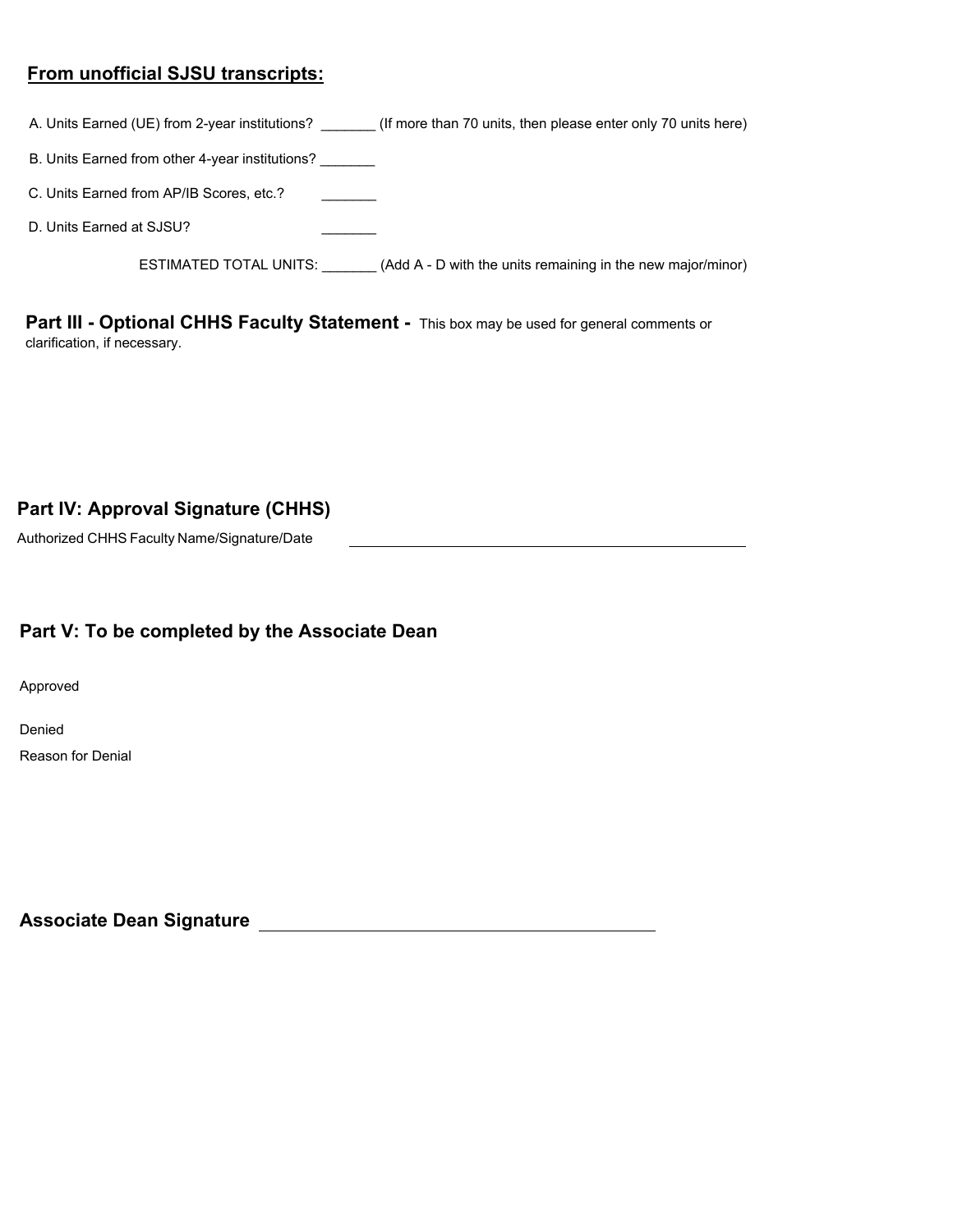# **From unofficial SJSU transcripts:**

A. Units Earned (UE) from 2-year institutions? \_\_\_\_\_\_\_ (If more than 70 units, then please enter only 70 units here)

|  |  |  |  |  |  | B. Units Earned from other 4-year institutions? |  |
|--|--|--|--|--|--|-------------------------------------------------|--|
|--|--|--|--|--|--|-------------------------------------------------|--|

 $\frac{1}{2}$ C. Units Earned from AP/IB Scores, etc.?

D. Units Earned at SJSU?

ESTIMATED TOTAL UNITS: \_\_\_\_\_\_\_ (Add A - D with the units remaining in the new major/minor)

**Part III - Optional CHHS Faculty Statement -** This box may be used for general comments or clarification, if necessary.

 $\overline{\phantom{a}}$ 

**Part IV: Approval Signature (CHHS)** 

Authorized CHHS Faculty Name/Signature/Date

## **Part V: To be completed by the Associate Dean**

Approved

Denied

Reason for Denial

**Associate Dean Signature**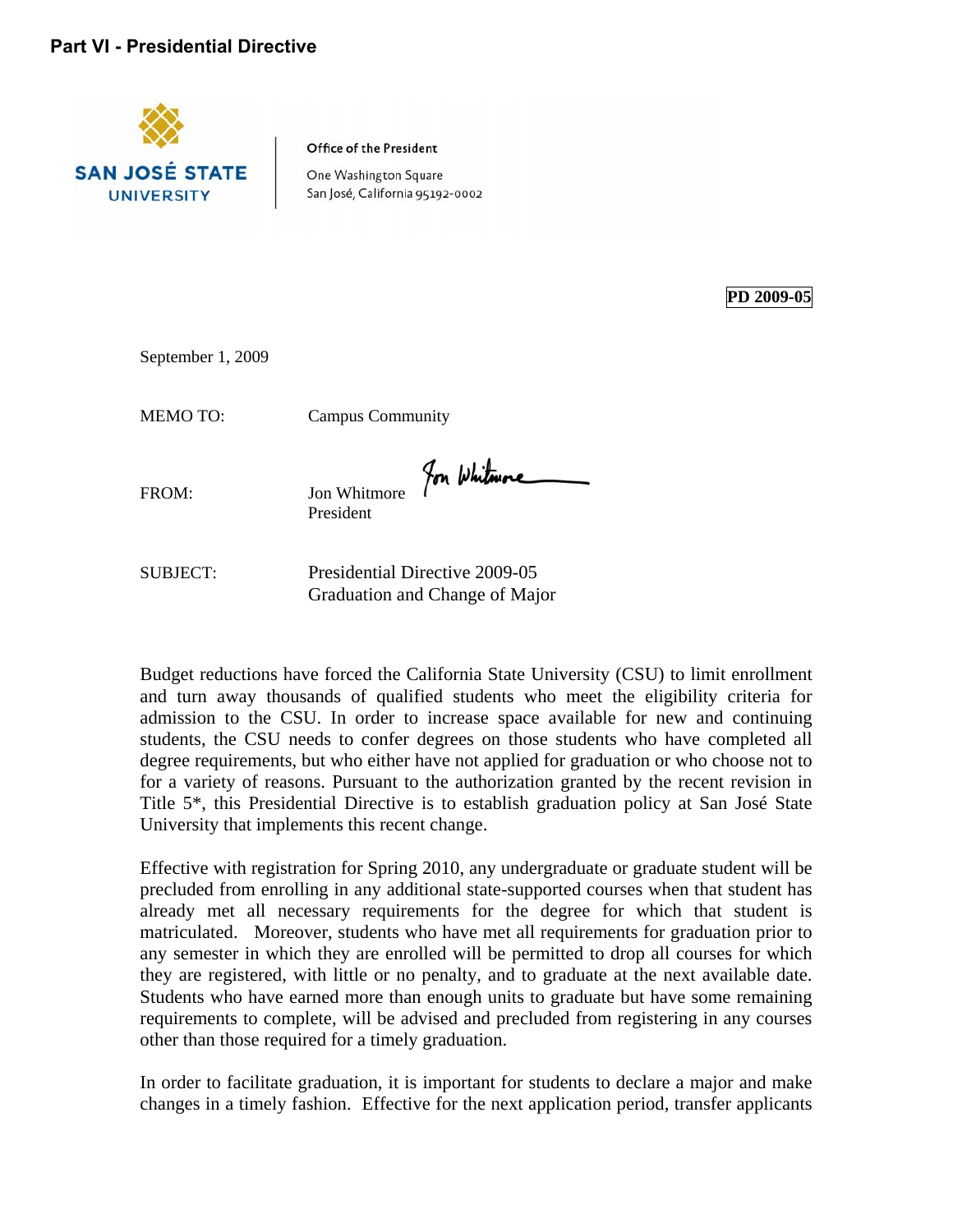

Office of the President

One Washington Square San José, California 95192-0002

**PD 2009-05**

September 1, 2009

MEMO TO: Campus Community

FROM: Jon Whitmore for Whitmore President

SUBJECT: Presidential Directive 2009-05 Graduation and Change of Major

Budget reductions have forced the California State University (CSU) to limit enrollment and turn away thousands of qualified students who meet the eligibility criteria for admission to the CSU. In order to increase space available for new and continuing students, the CSU needs to confer degrees on those students who have completed all degree requirements, but who either have not applied for graduation or who choose not to for a variety of reasons. Pursuant to the authorization granted by the recent revision in Title 5\*, this Presidential Directive is to establish graduation policy at San José State University that implements this recent change.

Effective with registration for Spring 2010, any undergraduate or graduate student will be precluded from enrolling in any additional state-supported courses when that student has already met all necessary requirements for the degree for which that student is matriculated. Moreover, students who have met all requirements for graduation prior to any semester in which they are enrolled will be permitted to drop all courses for which they are registered, with little or no penalty, and to graduate at the next available date. Students who have earned more than enough units to graduate but have some remaining requirements to complete, will be advised and precluded from registering in any courses other than those required for a timely graduation.

In order to facilitate graduation, it is important for students to declare a major and make changes in a timely fashion. Effective for the next application period, transfer applicants